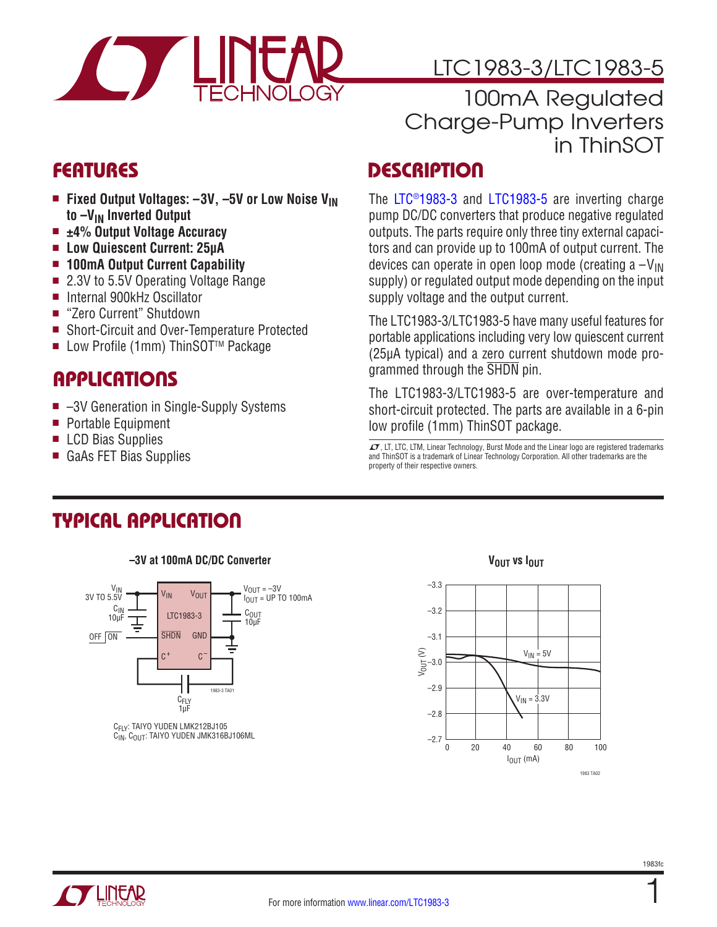

# LTC1983-3/LTC1983-5

100mA Regulated Charge-Pump Inverters in ThinSOT

- Fixed Output Voltages:  $-3V$ ,  $-5V$  or Low Noise V<sub>IN</sub> **to –VIN Inverted Output**
- ±4% Output Voltage Accuracy
- <sup>n</sup> **Low Quiescent Current: 25µA**
- 100mA Output Current Capability
- 2.3V to 5.5V Operating Voltage Range
- Internal 900kHz Oscillator
- "Zero Current" Shutdown
- Short-Circuit and Over-Temperature Protected
- Low Profile (1mm) ThinSOT<sup>™</sup> Package

# **APPLICATIONS**

- $\blacksquare$  -3V Generation in Single-Supply Systems
- Portable Equipment
- LCD Bias Supplies
- GaAs FET Bias Supplies

# FEATURES DESCRIPTION

The [LTC®1983-3](http://www.linear.com/LTC1983) and [LTC1983-5](http://www.linear.com/LTC1983) are inverting charge pump DC/DC converters that produce negative regulated outputs. The parts require only three tiny external capacitors and can provide up to 100mA of output current. The devices can operate in open loop mode (creating  $a - V_{\text{IN}}$ ) supply) or regulated output mode depending on the input supply voltage and the output current.

The LTC1983-3/LTC1983-5 have many useful features for portable applications including very low quiescent current (25µA typical) and a zero current shutdown mode programmed through the SHDN pin.

The LTC1983-3/LTC1983-5 are over-temperature and short-circuit protected. The parts are available in a 6-pin low profile (1mm) ThinSOT package.

 $\sqrt{J}$ , LT, LTC, LTM, Linear Technology, Burst Mode and the Linear logo are registered trademarks and ThinSOT is a trademark of Linear Technology Corporation. All other trademarks are the property of their respective owners.

# Typical Application



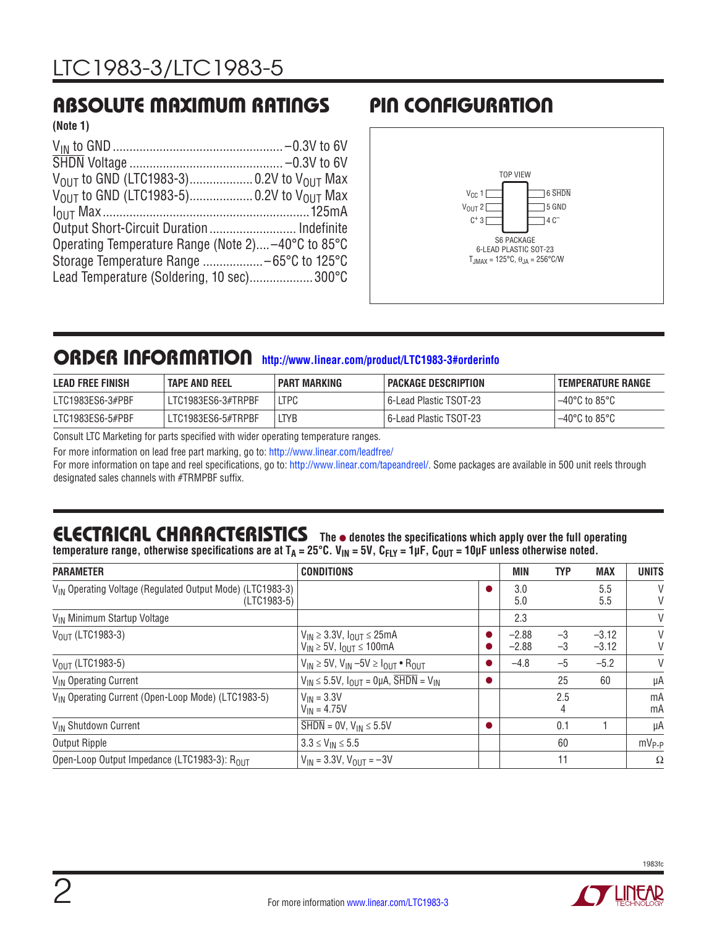## Absolute Maximum Ratings

#### **(Note 1)**

| Output Short-Circuit Duration Indefinite           |  |
|----------------------------------------------------|--|
| Operating Temperature Range (Note 2) -40°C to 85°C |  |
|                                                    |  |
| Lead Temperature (Soldering, 10 sec)300°C          |  |

# Pin Configuration



### ORDER INFORMATION [http://www.linear.com/product/LTC1983-3#orderinfo](http://www.linear.com/product/LTC1983#orderinfo)

| <b>LEAD FREE FINISH</b> | <b>TAPE AND REEL</b> | PART MARKING | PACKAGE DESCRIPTION      | I TEMPERATURE RANGE     |
|-------------------------|----------------------|--------------|--------------------------|-------------------------|
| LTC1983ES6-3#PBF        | LTC1983ES6-3#TRPBF   | <b>LTPC</b>  | l 6-Lead Plastic TSOT-23 | $-40^{\circ}$ C to 85°C |
| LTC1983ES6-5#PBF        | LTC1983ES6-5#TRPBF   | <b>LTYB</b>  | 6-Lead Plastic TSOT-23 - | $-40^{\circ}$ C to 85°C |

Consult LTC Marketing for parts specified with wider operating temperature ranges.

For more information on lead free part marking, go to: <http://www.linear.com/leadfree/>

For more information on tape and reel specifications, go to: [http://www.linear.com/tapeandreel/.](http://www.linear.com/tapeandreel/) Some packages are available in 500 unit reels through designated sales channels with #TRMPBF suffix.

# **ELECTRICAL CHARACTERISTICS** The  $\bullet$  denotes the specifications which apply over the full operating

temperature range, otherwise specifications are at T<sub>A</sub> = 25°C. V<sub>IN</sub> = 5V, C<sub>FLY</sub> = 1µF, C<sub>OUT</sub> = 10µF unless otherwise noted.

| <b>PARAMETER</b>                                                                     | <b>CONDITIONS</b>                                                                  | <b>MIN</b>         | <b>TYP</b>   | <b>MAX</b>         | <b>UNITS</b> |
|--------------------------------------------------------------------------------------|------------------------------------------------------------------------------------|--------------------|--------------|--------------------|--------------|
| V <sub>IN</sub> Operating Voltage (Regulated Output Mode) (LTC1983-3)<br>(LTC1983-5) |                                                                                    | 3.0<br>5.0         |              | 5.5<br>5.5         | V<br>V       |
| V <sub>IN</sub> Minimum Startup Voltage                                              |                                                                                    | 2.3                |              |                    | V            |
| $V_{\text{OUT}}$ (LTC1983-3)                                                         | $V_{IN} \geq 3.3V$ , $I_{OIII} \leq 25mA$<br>$V_{IN} \ge 5V$ , $I_{OUT} \le 100mA$ | $-2.88$<br>$-2.88$ | $-3$<br>$-3$ | $-3.12$<br>$-3.12$ | V<br>V       |
| $V_{\text{OUT}}$ (LTC1983-5)                                                         | $V_{IN} \ge 5V$ , $V_{IN} -5V \ge I_{OUIT} \cdot R_{OUIT}$                         | $-4.8$             | $-5$         | $-5.2$             | V            |
| V <sub>IN</sub> Operating Current                                                    | $V_{IN} \le 5.5V$ , $I_{OUIT} = Q\mu A$ , $\overline{SHDN} = V_{IN}$               |                    | 25           | 60                 | μA           |
| V <sub>IN</sub> Operating Current (Open-Loop Mode) (LTC1983-5)                       | $V_{IN}$ = 3.3V<br>$V_{IN} = 4.75V$                                                |                    | 2.5<br>4     |                    | mA<br>mA     |
| V <sub>IN</sub> Shutdown Current                                                     | $\overline{\text{SHDN}} = 0 \text{V}, \text{V}_{\text{IN}} \leq 5.5 \text{V}$      |                    | 0.1          |                    | μA           |
| Output Ripple                                                                        | $3.3 \le V_{IN} \le 5.5$                                                           |                    | 60           |                    | $mV_{P-P}$   |
| Open-Loop Output Impedance (LTC1983-3): ROUT                                         | $V_{IN}$ = 3.3V, $V_{OUIT}$ = -3V                                                  |                    | 11           |                    | $\Omega$     |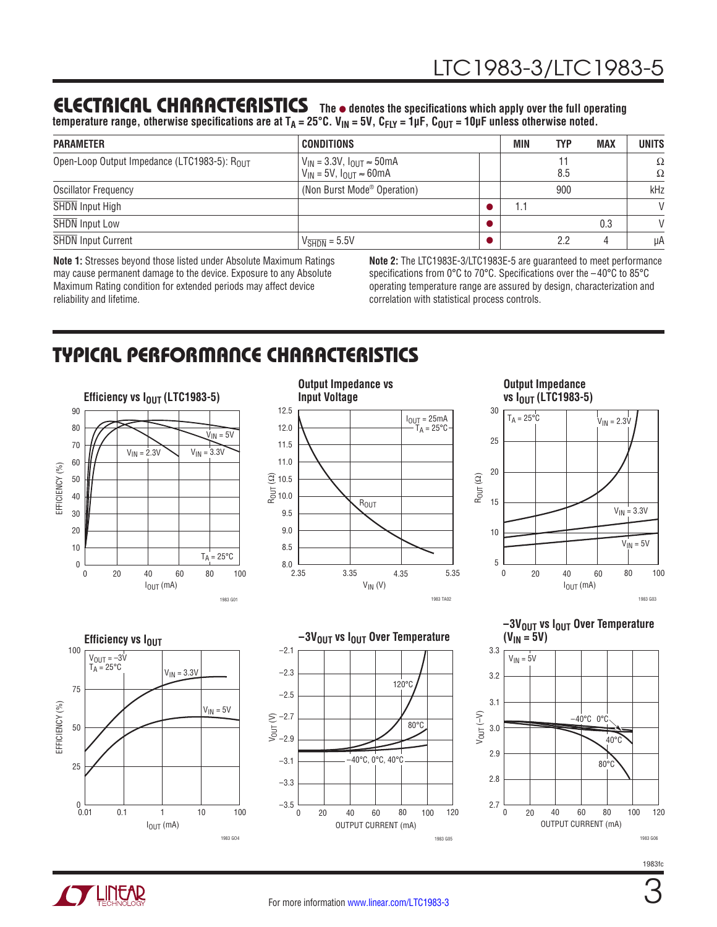## **ELECTRICAL CHARACTERISTICS** The  $\bullet$  denotes the specifications which apply over the full operating

temperature range, otherwise specifications are at T<sub>A</sub> = 25°C. V<sub>IN</sub> = 5V, C<sub>FLY</sub> = 1µF, C<sub>OUT</sub> = 10µF unless otherwise noted.

| <b>PARAMETER</b>                             | <b>CONDITIONS</b>                                                                    | MIN | TYP | <b>MAX</b> | <b>UNITS</b>  |
|----------------------------------------------|--------------------------------------------------------------------------------------|-----|-----|------------|---------------|
| Open-Loop Output Impedance (LTC1983-5): ROUT | $V_{IN}$ = 3.3V, $I_{OUT} \approx 50$ mA<br>$V_{IN}$ = 5V, $I_{OIII}$ $\approx$ 60mA |     | 8.5 |            | $\Omega$<br>Ω |
| <b>Oscillator Frequency</b>                  | (Non Burst Mode <sup>®</sup> Operation)                                              |     | 900 |            | kHz           |
| SHDN Input High                              |                                                                                      |     |     |            | $\mathsf{V}$  |
| <b>SHDN</b> Input Low                        |                                                                                      |     |     | 0.3        | $\mathsf{V}$  |
| <b>SHDN</b> Input Current                    | $V_{\overline{\text{SHDN}}} = 5.5 V$                                                 |     | 2.2 |            | μA            |

**Note 1:** Stresses beyond those listed under Absolute Maximum Ratings may cause permanent damage to the device. Exposure to any Absolute Maximum Rating condition for extended periods may affect device reliability and lifetime.

**Note 2:** The LTC1983E-3/LTC1983E-5 are guaranteed to meet performance specifications from 0°C to 70°C. Specifications over the –40°C to 85°C operating temperature range are assured by design, characterization and correlation with statistical process controls.

# Typical Performance Characteristics





# **Output Impedance**









**–3VOUT vs IOUT Over Temperature**  $(V_{IN} = 5V)$ 



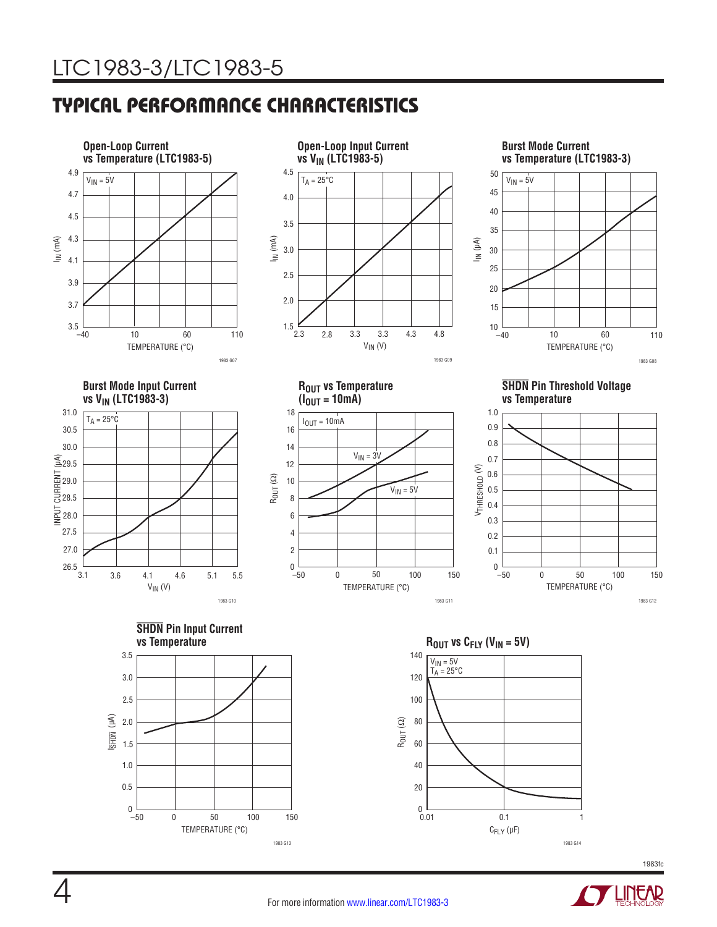# Typical Performance Characteristics



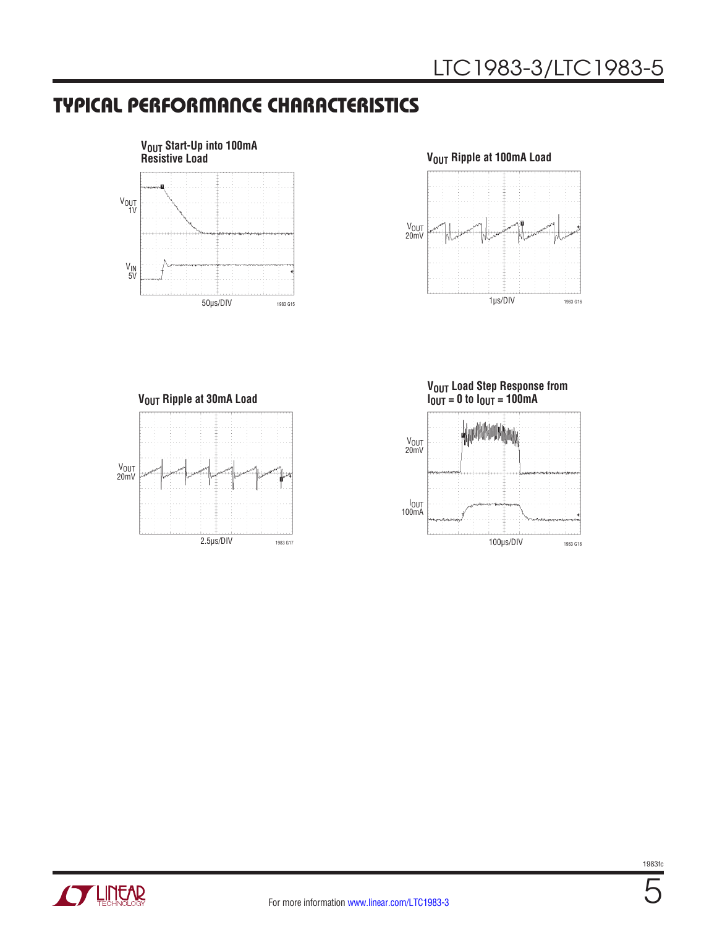## Typical Performance Characteristics



#### $V_{OUT}$  Ripple at 100mA Load



**VOUT Ripple at 30mA Load** 



**VOUT Load Step Response from IOUT = 0 to IOUT = 100mA**



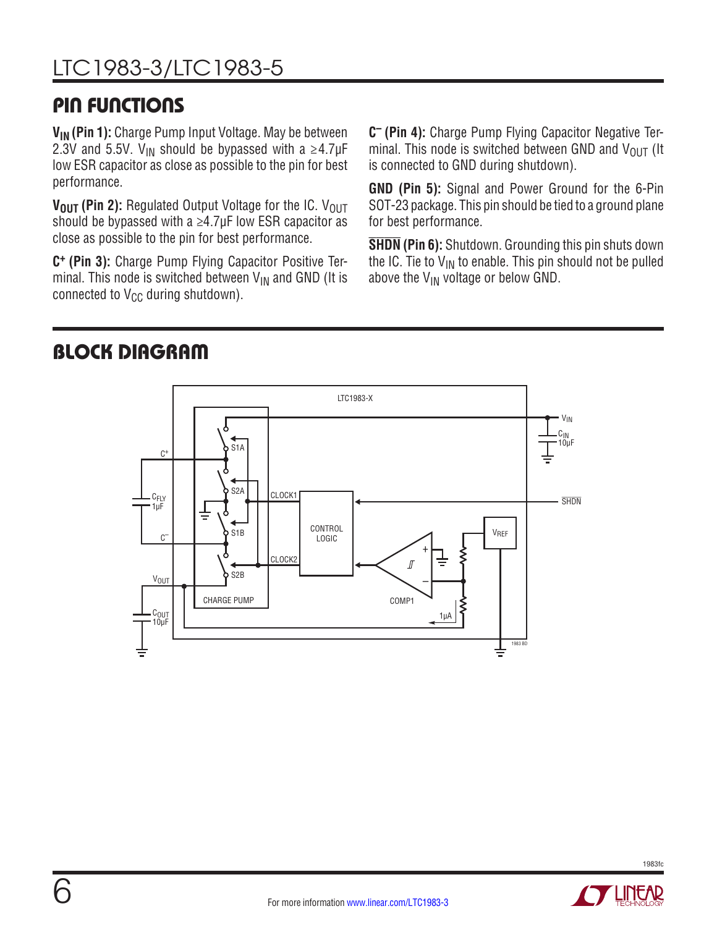# Pin Functions

**V<sub>IN</sub> (Pin 1):** Charge Pump Input Voltage. May be between 2.3V and 5.5V. V<sub>IN</sub> should be bypassed with a  $\geq$ 4.7µF low ESR capacitor as close as possible to the pin for best performance.

**V<sub>OUT</sub> (Pin 2):** Regulated Output Voltage for the IC. V<sub>OUT</sub> should be bypassed with a  $\geq$ 4.7µF low ESR capacitor as close as possible to the pin for best performance.

**C+ (Pin 3):** Charge Pump Flying Capacitor Positive Terminal. This node is switched between  $V_{IN}$  and GND (It is connected to  $V_{CC}$  during shutdown).

**C– (Pin 4):** Charge Pump Flying Capacitor Negative Terminal. This node is switched between GND and  $V_{\text{OUT}}$  (It is connected to GND during shutdown).

**GND (Pin 5):** Signal and Power Ground for the 6-Pin SOT-23 package. This pin should be tied to a ground plane for best performance.

**SHDN (Pin 6):** Shutdown. Grounding this pin shuts down the IC. Tie to  $V_{IN}$  to enable. This pin should not be pulled above the  $V_{IN}$  voltage or below GND.

## Block Diagram



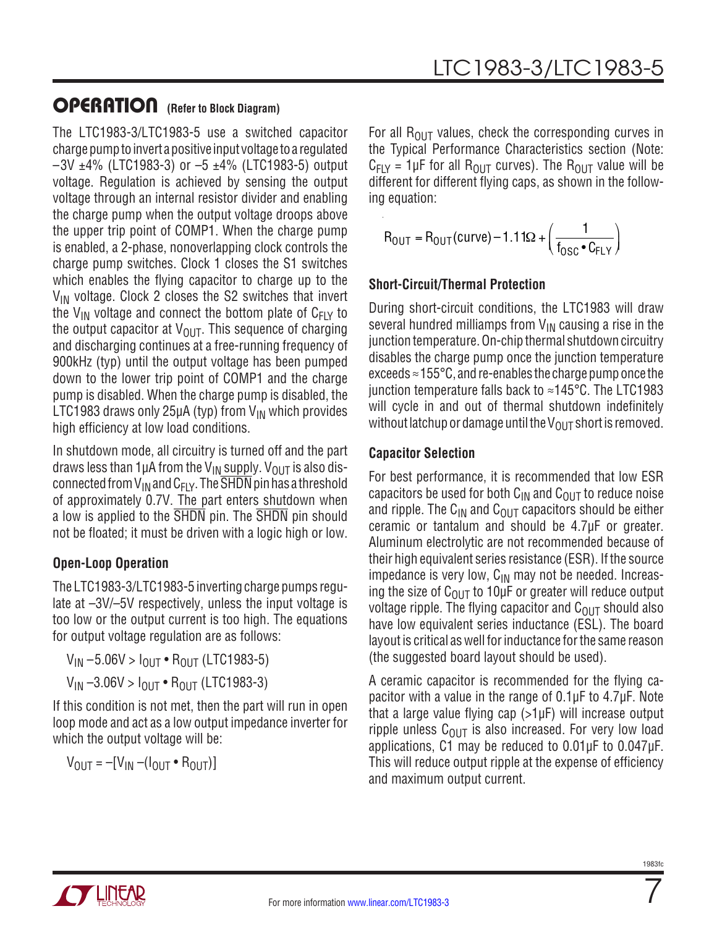The LTC1983-3/LTC1983-5 use a switched capacitor charge pump to invert a positive input voltage to a regulated  $-3V$   $\pm 4\%$  (LTC1983-3) or  $-5$   $\pm 4\%$  (LTC1983-5) output voltage. Regulation is achieved by sensing the output voltage through an internal resistor divider and enabling the charge pump when the output voltage droops above the upper trip point of COMP1. When the charge pump is enabled, a 2-phase, nonoverlapping clock controls the charge pump switches. Clock 1 closes the S1 switches which enables the flying capacitor to charge up to the  $V_{IN}$  voltage. Clock 2 closes the S2 switches that invert the V<sub>IN</sub> voltage and connect the bottom plate of  $C_{F|Y}$  to the output capacitor at  $V_{\text{OUT}}$ . This sequence of charging and discharging continues at a free-running frequency of 900kHz (typ) until the output voltage has been pumped down to the lower trip point of COMP1 and the charge pump is disabled. When the charge pump is disabled, the LTC1983 draws only 25 $\mu$ A (typ) from V<sub>IN</sub> which provides high efficiency at low load conditions.

In shutdown mode, all circuitry is turned off and the part draws less than 1µA from the V<sub>IN</sub> supply. V<sub>OUT</sub> is also disconnected from  $V_{IN}$  and  $C_{FLY}$ . The  $\overline{SHDN}$  pin has a threshold of approximately 0.7V. The part enters shutdown when a low is applied to the SHDN pin. The SHDN pin should not be floated; it must be driven with a logic high or low.

#### **Open-Loop Operation**

The LTC1983-3/LTC1983-5 inverting charge pumps regulate at –3V/–5V respectively, unless the input voltage is too low or the output current is too high. The equations for output voltage regulation are as follows:

 $V_{IN} - 5.06V > I_{OUT} \cdot R_{OUT}$  (LTC1983-5)  $V_{IN} -3.06V > I_{OUIT} \cdot R_{OUIT}$  (LTC1983-3)

If this condition is not met, then the part will run in open loop mode and act as a low output impedance inverter for which the output voltage will be:

 $V_{\text{OUT}} = -[V_{\text{IN}} - (I_{\text{OUT}} \cdot R_{\text{OUT}})]$ 

For all  $R_{OUT}$  values, check the corresponding curves in the Typical Performance Characteristics section (Note:  $C_{FIV}$  = 1µF for all R<sub>OUT</sub> curves). The R<sub>OUT</sub> value will be different for different flying caps, as shown in the following equation:

$$
R_{OUT} = R_{OUT}(curve) - 1.11\Omega + \left(\frac{1}{f_{OSC} \cdot C_{FLY}}\right)
$$

#### **Short-Circuit/Thermal Protection**

During short-circuit conditions, the LTC1983 will draw several hundred milliamps from  $V_{IN}$  causing a rise in the junction temperature. On-chip thermal shutdown circuitry disables the charge pump once the junction temperature exceeds  $\approx$  155°C, and re-enables the charge pump once the junction temperature falls back to ≈145°C. The LTC1983 will cycle in and out of thermal shutdown indefinitely without latchup or damage until the  $V_{\text{OUT}}$  short is removed.

#### **Capacitor Selection**

For best performance, it is recommended that low ESR capacitors be used for both  $C_{1N}$  and  $C_{0U}$  to reduce noise and ripple. The C<sub>IN</sub> and C<sub>OUT</sub> capacitors should be either ceramic or tantalum and should be 4.7µF or greater. Aluminum electrolytic are not recommended because of their high equivalent series resistance (ESR). If the source impedance is very low,  $C_{IN}$  may not be needed. Increasing the size of  $C_{\text{OUT}}$  to 10µF or greater will reduce output voltage ripple. The flying capacitor and  $C_{OUT}$  should also have low equivalent series inductance (ESL). The board layout is critical as well for inductance for the same reason (the suggested board layout should be used).

A ceramic capacitor is recommended for the flying capacitor with a value in the range of 0.1µF to 4.7µF. Note that a large value flying cap (>1µF) will increase output ripple unless  $C_{\Omega I T}$  is also increased. For very low load applications, C1 may be reduced to 0.01µF to 0.047µF. This will reduce output ripple at the expense of efficiency and maximum output current.

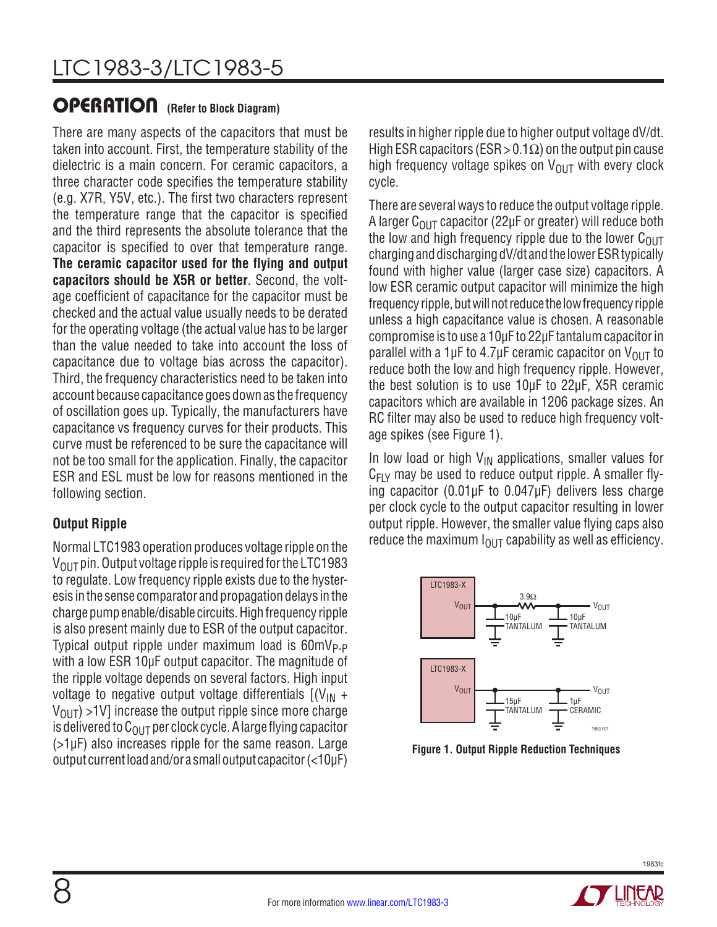There are many aspects of the capacitors that must be taken into account. First, the temperature stability of the dielectric is a main concern. For ceramic capacitors, a three character code specifies the temperature stability (e.g. X7R, Y5V, etc.). The first two characters represent the temperature range that the capacitor is specified and the third represents the absolute tolerance that the capacitor is specified to over that temperature range. **The ceramic capacitor used for the flying and output capacitors should be X5R or better**. Second, the voltage coefficient of capacitance for the capacitor must be checked and the actual value usually needs to be derated for the operating voltage (the actual value has to be larger than the value needed to take into account the loss of capacitance due to voltage bias across the capacitor). Third, the frequency characteristics need to be taken into account because capacitance goes down as the frequency of oscillation goes up. Typically, the manufacturers have capacitance vs frequency curves for their products. This curve must be referenced to be sure the capacitance will not be too small for the application. Finally, the capacitor ESR and ESL must be low for reasons mentioned in the following section.

#### **Output Ripple**

Normal LTC1983 operation produces voltage ripple on the  $V_{\text{OUT}}$  pin. Output voltage ripple is required for the LTC1983 to regulate. Low frequency ripple exists due to the hysteresis in the sense comparator and propagation delays in the charge pump enable/disable circuits. High frequency ripple is also present mainly due to ESR of the output capacitor. Typical output ripple under maximum load is  $60mV_{P-P}$ with a low ESR 10µF output capacitor. The magnitude of the ripple voltage depends on several factors. High input voltage to negative output voltage differentials  $[(V_{IN} +$  $V_{\text{OUT}}$ ) >1V] increase the output ripple since more charge is delivered to  $C_{\Omega I}$  per clock cycle. A large flying capacitor (>1µF) also increases ripple for the same reason. Large output currentloadand/or a smalloutput capacitor (<10µF)

results in higher ripple due to higher output voltage dV/dt. High ESR capacitors (ESR > 0.1 $\Omega$ ) on the output pin cause high frequency voltage spikes on  $V_{\text{OUT}}$  with every clock cycle.

There are several ways to reduce the output voltage ripple. A larger  $C_{\Omega I}$  capacitor (22µF or greater) will reduce both the low and high frequency ripple due to the lower  $C<sub>OUT</sub>$ charging and discharging dV/dt and the lower ESR typically found with higher value (larger case size) capacitors. A low ESR ceramic output capacitor will minimize the high frequency ripple, but will not reduce the low frequency ripple unless a high capacitance value is chosen. A reasonable compromise is to use a 10µF to 22µF tantalum capacitor in parallel with a 1 $\mu$ F to 4.7 $\mu$ F ceramic capacitor on V<sub>OUT</sub> to reduce both the low and high frequency ripple. However, the best solution is to use 10µF to 22µF, X5R ceramic capacitors which are available in 1206 package sizes. An RC filter may also be used to reduce high frequency voltage spikes (see Figure 1).

In low load or high  $V_{IN}$  applications, smaller values for  $C_{F1Y}$  may be used to reduce output ripple. A smaller flying capacitor (0.01µF to 0.047µF) delivers less charge per clock cycle to the output capacitor resulting in lower output ripple. However, the smaller value flying caps also reduce the maximum  $I_{O \cup T}$  capability as well as efficiency.



**Figure 1. Output Ripple Reduction Techniques**

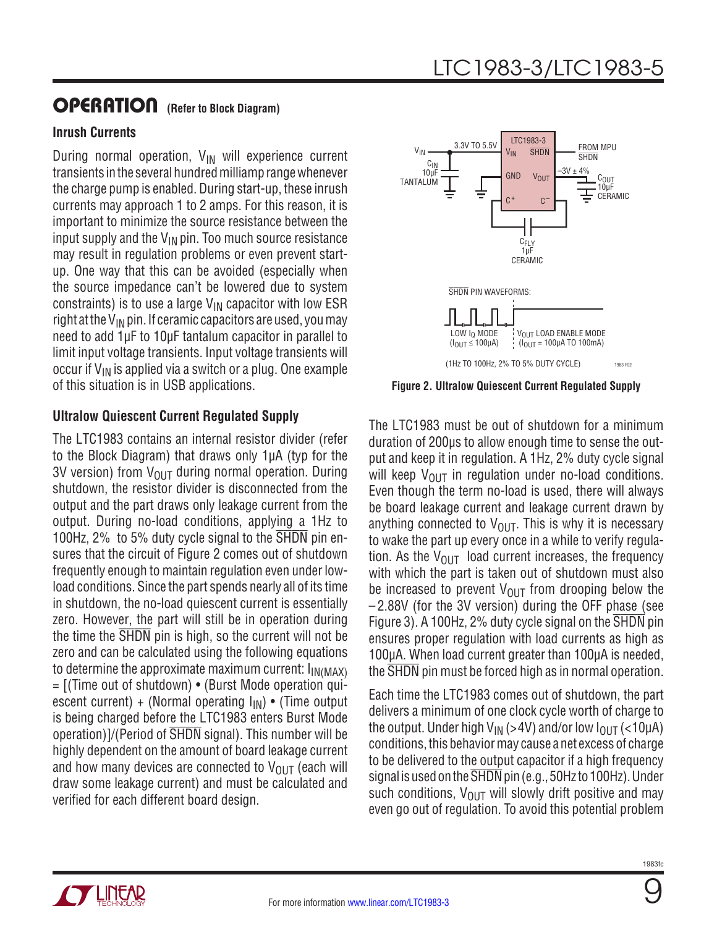#### **Inrush Currents**

During normal operation,  $V_{IN}$  will experience current transients in the several hundred milliamp range whenever the charge pump is enabled. During start-up, these inrush currents may approach 1 to 2 amps. For this reason, it is important to minimize the source resistance between the input supply and the  $V_{IN}$  pin. Too much source resistance may result in regulation problems or even prevent startup. One way that this can be avoided (especially when the source impedance can't be lowered due to system constraints) is to use a large  $V_{\text{IN}}$  capacitor with low ESR right at the  $V_{IN}$  pin. If ceramic capacitors are used, you may need to add 1µF to 10µF tantalum capacitor in parallel to limit input voltage transients. Input voltage transients will occur if  $V_{IN}$  is applied via a switch or a plug. One example of this situation is in USB applications.

#### **Ultralow Quiescent Current Regulated Supply**

The LTC1983 contains an internal resistor divider (refer to the Block Diagram) that draws only 1µA (typ for the 3V version) from  $V_{\text{OUT}}$  during normal operation. During shutdown, the resistor divider is disconnected from the output and the part draws only leakage current from the output. During no-load conditions, applying a 1Hz to 100Hz, 2% to 5% duty cycle signal to the SHDN pin ensures that the circuit of Figure 2 comes out of shutdown frequently enough to maintain regulation even under lowload conditions. Since the part spends nearly all of its time in shutdown, the no-load quiescent current is essentially zero. However, the part will still be in operation during the time the SHDN pin is high, so the current will not be zero and can be calculated using the following equations to determine the approximate maximum current:  $I_{IN(MAX)}$ = [(Time out of shutdown) • (Burst Mode operation quiescent current) + (Normal operating  $I_{IN}$ ) • (Time output is being charged before the LTC1983 enters Burst Mode operation)]/(Period of SHDN signal). This number will be highly dependent on the amount of board leakage current and how many devices are connected to  $V_{\text{OUT}}$  (each will draw some leakage current) and must be calculated and verified for each different board design.



**Figure 2. Ultralow Quiescent Current Regulated Supply**

The LTC1983 must be out of shutdown for a minimum duration of 200µs to allow enough time to sense the output and keep it in regulation. A 1Hz, 2% duty cycle signal will keep  $V_{\text{OUT}}$  in regulation under no-load conditions. Even though the term no-load is used, there will always be board leakage current and leakage current drawn by anything connected to  $V_{\text{OUT}}$ . This is why it is necessary to wake the part up every once in a while to verify regulation. As the  $V_{\text{OUT}}$  load current increases, the frequency with which the part is taken out of shutdown must also be increased to prevent  $V_{\text{OUT}}$  from drooping below the – 2.88V (for the 3V version) during the OFF phase (see Figure 3). A 100Hz, 2% duty cycle signal on the SHDN pin ensures proper regulation with load currents as high as 100µA. When load current greater than 100µA is needed, the SHDN pin must be forced high as in normal operation.

Each time the LTC1983 comes out of shutdown, the part delivers a minimum of one clock cycle worth of charge to the output. Under high  $V_{IN}$  (>4V) and/or low  $I_{OIII}$  (<10µA) conditions, this behavior may cause a net excess of charge to be delivered to the output capacitor if a high frequency signal is used on the SHDN pin (e.g., 50Hz to 100Hz). Under such conditions,  $V_{\text{OUT}}$  will slowly drift positive and may even go out of regulation. To avoid this potential problem

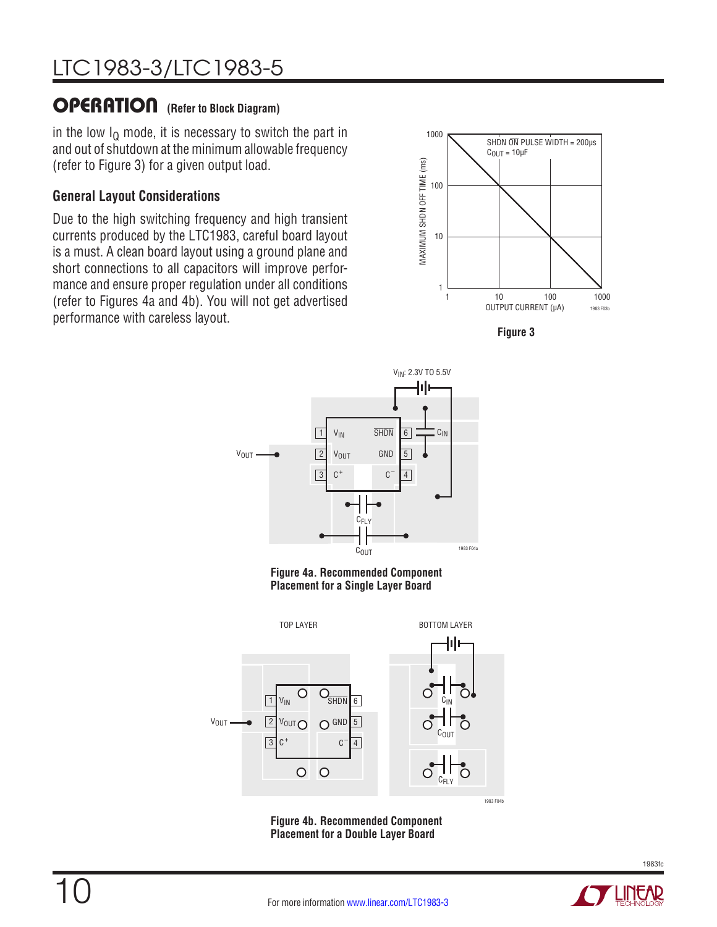in the low  $I<sub>Q</sub>$  mode, it is necessary to switch the part in and out of shutdown at the minimum allowable frequency (refer to Figure 3) for a given output load.

#### **General Layout Considerations**

Due to the high switching frequency and high transient currents produced by the LTC1983, careful board layout is a must. A clean board layout using a ground plane and short connections to all capacitors will improve performance and ensure proper regulation under all conditions (refer to Figures 4a and 4b). You will not get advertised (Telef to Figures 4a and 4b). Tou will not get auvertised<br>performance with careless layout.









**Figure 4b. Recommended Component Placement for a Double Layer Board**

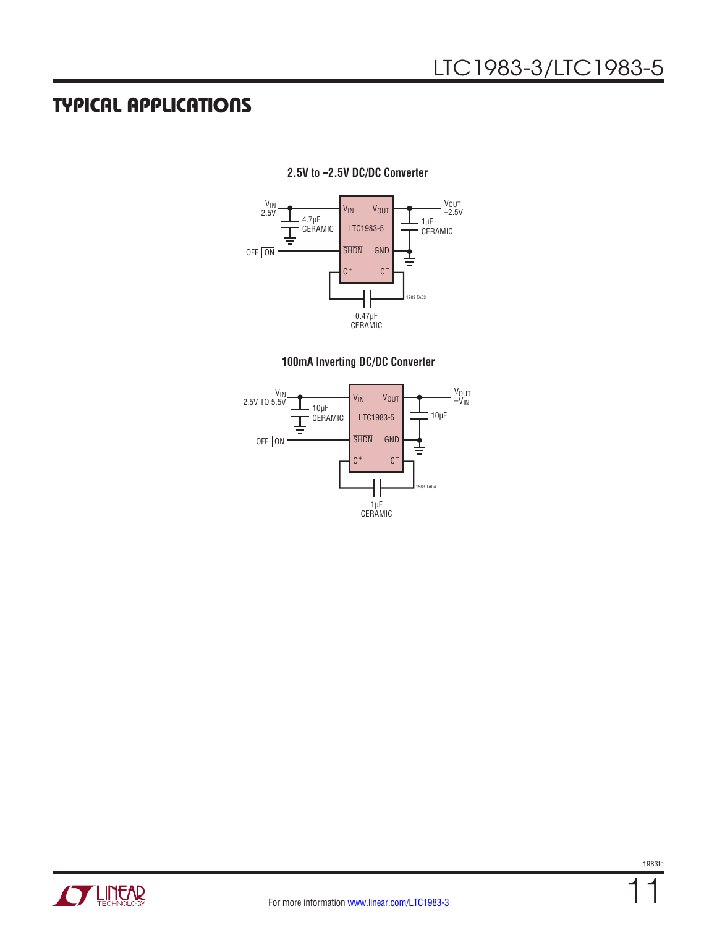## Typical Applications



#### **2.5V to –2.5V DC/DC Converter**





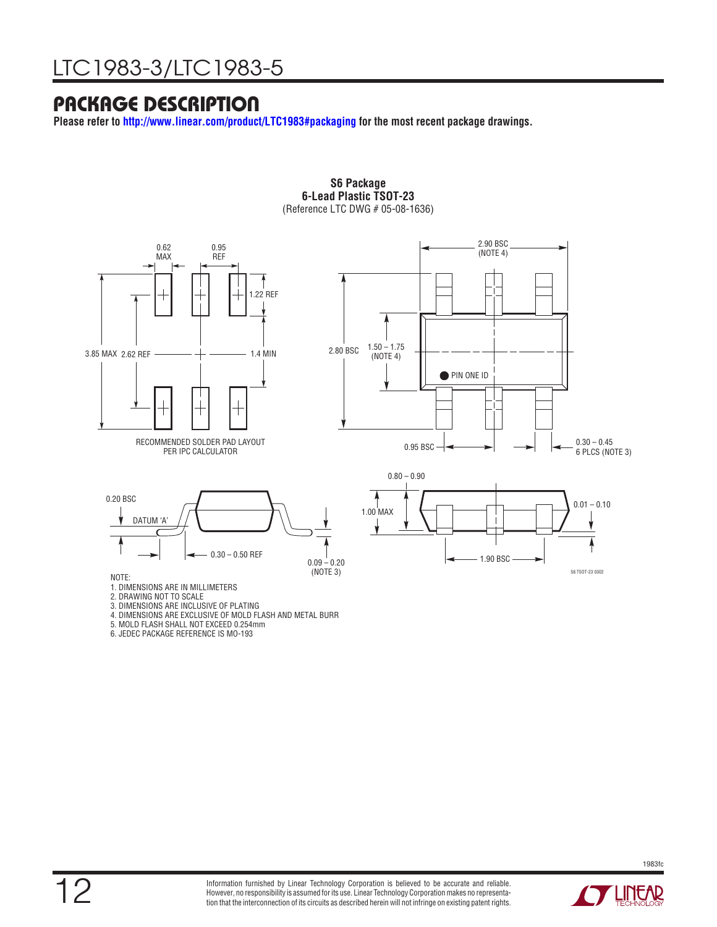## Package Description

**Please refer to<http://www.linear.com/product/LTC1983#packaging> for the most recent package drawings.**



**S6 Package 6-Lead Plastic TSOT-23** (Reference LTC DWG # 05-08-1636)

- 
- 3. DIMENSIONS ARE INCLUSIVE OF PLATING 4. DIMENSIONS ARE EXCLUSIVE OF MOLD FLASH AND METAL BURR
- 5. MOLD FLASH SHALL NOT EXCEED 0.254mm
- 6. JEDEC PACKAGE REFERENCE IS MO-193

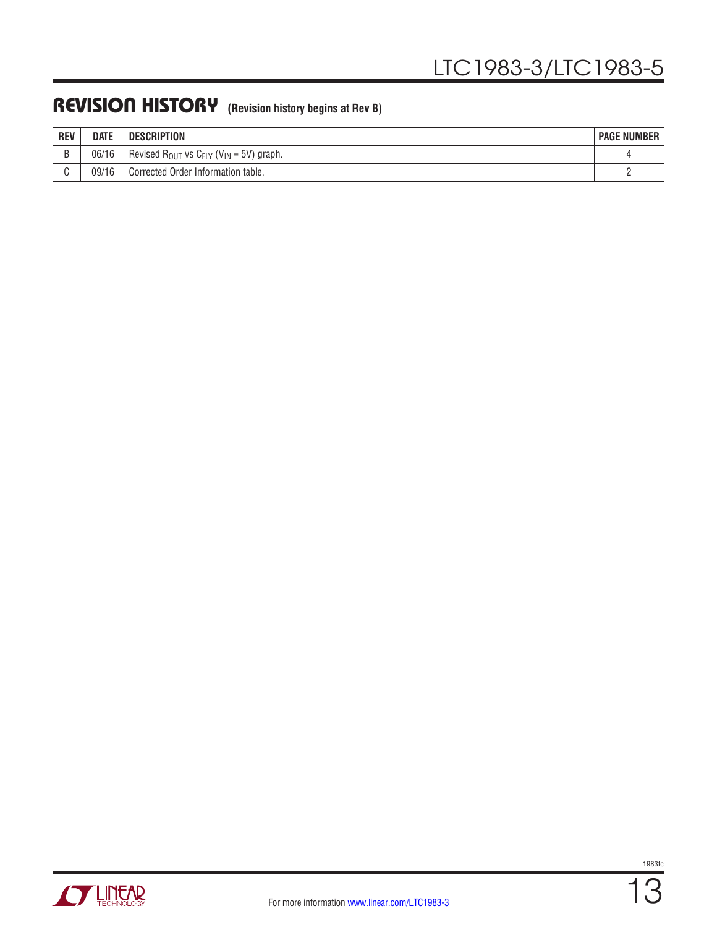## REVISION HISTORY (Revision history begins at Rev B)

| <b>REV</b> | <b>DATE</b> | DESCRIPTION                                                                | <b>PAGE NUMBER</b> |
|------------|-------------|----------------------------------------------------------------------------|--------------------|
|            | 06/16       | Revised R <sub>OUT</sub> vs C <sub>FLY</sub> (V <sub>IN</sub> = 5V) graph. |                    |
|            | 09/16       | l Corrected Order Information table.                                       |                    |